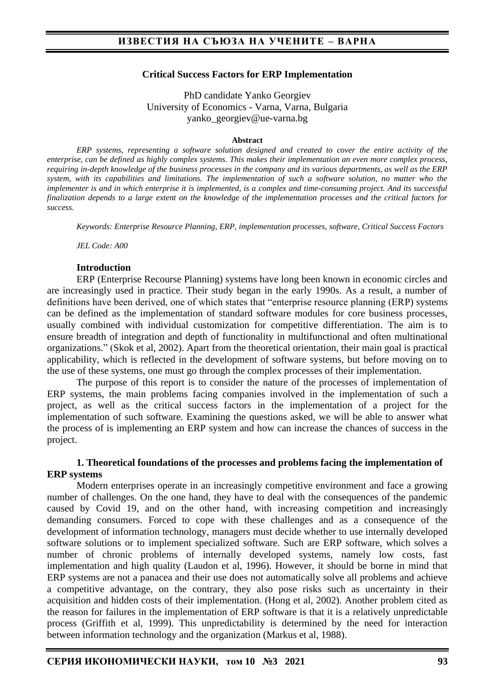#### **Critical Success Factors for ERP Implementation**

PhD candidate Yanko Georgiev University of Economics - Varna, Varna, Bulgaria yanko\_georgiev@ue-varna.bg

#### **Abstract**

*ERP systems, representing a software solution designed and created to cover the entire activity of the enterprise, can be defined as highly complex systems. This makes their implementation an even more complex process, requiring in-depth knowledge of the business processes in the company and its various departments, as well as the ERP system, with its capabilities and limitations. The implementation of such a software solution, no matter who the implementer is and in which enterprise it is implemented, is a complex and time-consuming project. And its successful finalization depends to a large extent on the knowledge of the implementation processes and the critical factors for success.*

*Keywords: Enterprise Resource Planning, ERP, implementation processes, software, Critical Success Factors*

*JEL Code: A00* 

#### **Introduction**

ERP (Enterprise Recourse Planning) systems have long been known in economic circles and are increasingly used in practice. Their study began in the early 1990s. As a result, a number of definitions have been derived, one of which states that "enterprise resource planning (ERP) systems can be defined as the implementation of standard software modules for core business processes, usually combined with individual customization for competitive differentiation. The aim is to ensure breadth of integration and depth of functionality in multifunctional and often multinational organizations." (Skok et al, 2002). Apart from the theoretical orientation, their main goal is practical applicability, which is reflected in the development of software systems, but before moving on to the use of these systems, one must go through the complex processes of their implementation.

The purpose of this report is to consider the nature of the processes of implementation of ERP systems, the main problems facing companies involved in the implementation of such a project, as well as the critical success factors in the implementation of a project for the implementation of such software. Examining the questions asked, we will be able to answer what the process of is implementing an ERP system and how can increase the chances of success in the project.

### **1. Theoretical foundations of the processes and problems facing the implementation of ERP systems**

Modern enterprises operate in an increasingly competitive environment and face a growing number of challenges. On the one hand, they have to deal with the consequences of the pandemic caused by Covid 19, and on the other hand, with increasing competition and increasingly demanding consumers. Forced to cope with these challenges and as a consequence of the development of information technology, managers must decide whether to use internally developed software solutions or to implement specialized software. Such are ERP software, which solves a number of chronic problems of internally developed systems, namely low costs, fast implementation and high quality (Laudon et al, 1996). However, it should be borne in mind that ERP systems are not a panacea and their use does not automatically solve all problems and achieve a competitive advantage, on the contrary, they also pose risks such as uncertainty in their acquisition and hidden costs of their implementation. (Hong et al, 2002). Another problem cited as the reason for failures in the implementation of ERP software is that it is a relatively unpredictable process (Griffith et al, 1999). This unpredictability is determined by the need for interaction between information technology and the organization (Markus et al, 1988).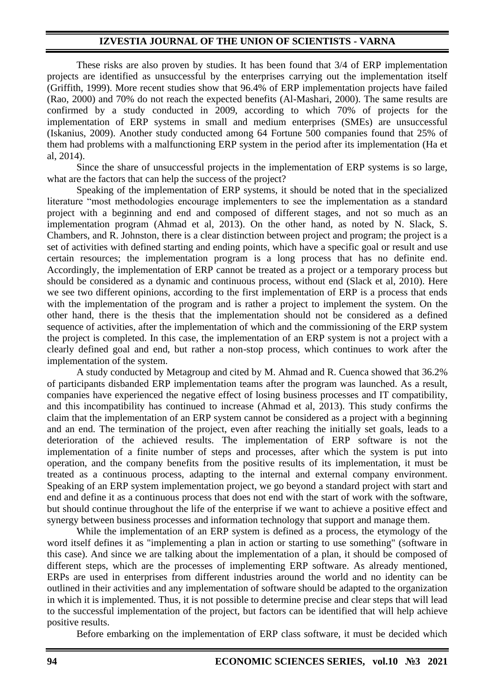### **IZVESTIA JOURNAL OF THE UNION OF SCIENTISTS - VARNA**

These risks are also proven by studies. It has been found that 3/4 of ERP implementation projects are identified as unsuccessful by the enterprises carrying out the implementation itself (Griffith, 1999). More recent studies show that 96.4% of ERP implementation projects have failed (Rao, 2000) and 70% do not reach the expected benefits (Al-Mashari, 2000). The same results are confirmed by a study conducted in 2009, according to which 70% of projects for the implementation of ERP systems in small and medium enterprises (SMEs) are unsuccessful (Iskanius, 2009). Another study conducted among 64 Fortune 500 companies found that 25% of them had problems with a malfunctioning ERP system in the period after its implementation (Ha et al, 2014).

Since the share of unsuccessful projects in the implementation of ERP systems is so large, what are the factors that can help the success of the project?

Speaking of the implementation of ERP systems, it should be noted that in the specialized literature "most methodologies encourage implementers to see the implementation as a standard project with a beginning and end and composed of different stages, and not so much as an implementation program (Ahmad et al, 2013). On the other hand, as noted by N. Slack, S. Chambers, and R. Johnston, there is a clear distinction between project and program; the project is a set of activities with defined starting and ending points, which have a specific goal or result and use certain resources; the implementation program is a long process that has no definite end. Accordingly, the implementation of ERP cannot be treated as a project or a temporary process but should be considered as a dynamic and continuous process, without end (Slack et al, 2010). Here we see two different opinions, according to the first implementation of ERP is a process that ends with the implementation of the program and is rather a project to implement the system. On the other hand, there is the thesis that the implementation should not be considered as a defined sequence of activities, after the implementation of which and the commissioning of the ERP system the project is completed. In this case, the implementation of an ERP system is not a project with a clearly defined goal and end, but rather a non-stop process, which continues to work after the implementation of the system.

A study conducted by Metagroup and cited by M. Ahmad and R. Cuenca showed that 36.2% of participants disbanded ERP implementation teams after the program was launched. As a result, companies have experienced the negative effect of losing business processes and IT compatibility, and this incompatibility has continued to increase (Ahmad et al, 2013). This study confirms the claim that the implementation of an ERP system cannot be considered as a project with a beginning and an end. The termination of the project, even after reaching the initially set goals, leads to a deterioration of the achieved results. The implementation of ERP software is not the implementation of a finite number of steps and processes, after which the system is put into operation, and the company benefits from the positive results of its implementation, it must be treated as a continuous process, adapting to the internal and external company environment. Speaking of an ERP system implementation project, we go beyond a standard project with start and end and define it as a continuous process that does not end with the start of work with the software, but should continue throughout the life of the enterprise if we want to achieve a positive effect and synergy between business processes and information technology that support and manage them.

While the implementation of an ERP system is defined as a process, the etymology of the word itself defines it as "implementing a plan in action or starting to use something" (software in this case). And since we are talking about the implementation of a plan, it should be composed of different steps, which are the processes of implementing ERP software. As already mentioned, ERPs are used in enterprises from different industries around the world and no identity can be outlined in their activities and any implementation of software should be adapted to the organization in which it is implemented. Thus, it is not possible to determine precise and clear steps that will lead to the successful implementation of the project, but factors can be identified that will help achieve positive results.

Before embarking on the implementation of ERP class software, it must be decided which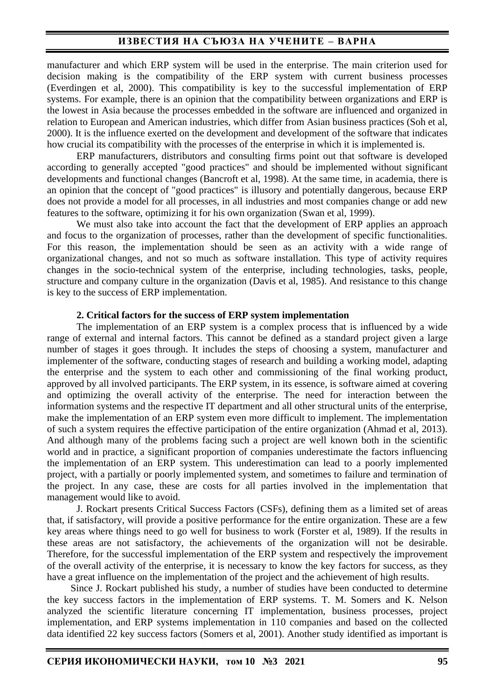## **ИЗВЕСТИЯ НА СЪЮЗА НА УЧЕНИТЕ – ВАРНА**

manufacturer and which ERP system will be used in the enterprise. The main criterion used for decision making is the compatibility of the ERP system with current business processes (Everdingen et al, 2000). This compatibility is key to the successful implementation of ERP systems. For example, there is an opinion that the compatibility between organizations and ERP is the lowest in Asia because the processes embedded in the software are influenced and organized in relation to European and American industries, which differ from Asian business practices (Soh et al, 2000). It is the influence exerted on the development and development of the software that indicates how crucial its compatibility with the processes of the enterprise in which it is implemented is.

ERP manufacturers, distributors and consulting firms point out that software is developed according to generally accepted "good practices" and should be implemented without significant developments and functional changes (Bancroft et al, 1998). At the same time, in academia, there is an opinion that the concept of "good practices" is illusory and potentially dangerous, because ERP does not provide a model for all processes, in all industries and most companies change or add new features to the software, optimizing it for his own organization (Swan et al, 1999).

We must also take into account the fact that the development of ERP applies an approach and focus to the organization of processes, rather than the development of specific functionalities. For this reason, the implementation should be seen as an activity with a wide range of organizational changes, and not so much as software installation. This type of activity requires changes in the socio-technical system of the enterprise, including technologies, tasks, people, structure and company culture in the organization (Davis et al, 1985). And resistance to this change is key to the success of ERP implementation.

#### **2. Critical factors for the success of ERP system implementation**

The implementation of an ERP system is a complex process that is influenced by a wide range of external and internal factors. This cannot be defined as a standard project given a large number of stages it goes through. It includes the steps of choosing a system, manufacturer and implementer of the software, conducting stages of research and building a working model, adapting the enterprise and the system to each other and commissioning of the final working product, approved by all involved participants. The ERP system, in its essence, is software aimed at covering and optimizing the overall activity of the enterprise. The need for interaction between the information systems and the respective IT department and all other structural units of the enterprise, make the implementation of an ERP system even more difficult to implement. The implementation of such a system requires the effective participation of the entire organization (Ahmad et al, 2013). And although many of the problems facing such a project are well known both in the scientific world and in practice, a significant proportion of companies underestimate the factors influencing the implementation of an ERP system. This underestimation can lead to a poorly implemented project, with a partially or poorly implemented system, and sometimes to failure and termination of the project. In any case, these are costs for all parties involved in the implementation that management would like to avoid.

J. Rockart presents Critical Success Factors (CSFs), defining them as a limited set of areas that, if satisfactory, will provide a positive performance for the entire organization. These are a few key areas where things need to go well for business to work (Forster et al, 1989). If the results in these areas are not satisfactory, the achievements of the organization will not be desirable. Therefore, for the successful implementation of the ERP system and respectively the improvement of the overall activity of the enterprise, it is necessary to know the key factors for success, as they have a great influence on the implementation of the project and the achievement of high results.

Since J. Rockart published his study, a number of studies have been conducted to determine the key success factors in the implementation of ERP systems. T. M. Somers and K. Nelson analyzed the scientific literature concerning IT implementation, business processes, project implementation, and ERP systems implementation in 110 companies and based on the collected data identified 22 key success factors (Somers et al, 2001). Another study identified as important is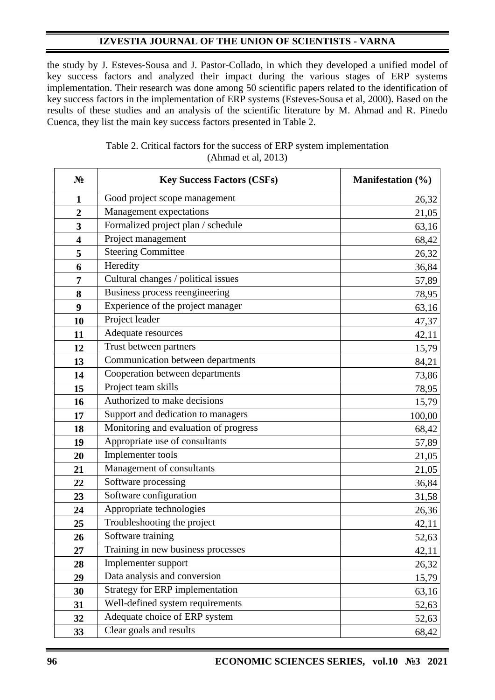# **IZVESTIA JOURNAL OF THE UNION OF SCIENTISTS - VARNA**

the study by J. Esteves-Sousa and J. Pastor-Collado, in which they developed a unified model of key success factors and analyzed their impact during the various stages of ERP systems implementation. Their research was done among 50 scientific papers related to the identification of key success factors in the implementation of ERP systems (Esteves-Sousa et al, 2000). Based on the results of these studies and an analysis of the scientific literature by M. Ahmad and R. Pinedo Cuenca, they list the main key success factors presented in Table 2.

| $N_2$                   | <b>Key Success Factors (CSFs)</b>     | Manifestation (%) |
|-------------------------|---------------------------------------|-------------------|
| $\mathbf{1}$            | Good project scope management         | 26,32             |
| $\overline{2}$          | Management expectations               | 21,05             |
| $\mathbf{3}$            | Formalized project plan / schedule    | 63,16             |
| $\overline{\mathbf{4}}$ | Project management                    | 68,42             |
| 5                       | <b>Steering Committee</b>             | 26,32             |
| 6                       | Heredity                              | 36,84             |
| 7                       | Cultural changes / political issues   | 57,89             |
| 8                       | Business process reengineering        | 78,95             |
| 9                       | Experience of the project manager     | 63,16             |
| 10                      | Project leader                        | 47,37             |
| 11                      | Adequate resources                    | 42,11             |
| 12                      | Trust between partners                | 15,79             |
| 13                      | Communication between departments     | 84,21             |
| 14                      | Cooperation between departments       | 73,86             |
| 15                      | Project team skills                   | 78,95             |
| 16                      | Authorized to make decisions          | 15,79             |
| 17                      | Support and dedication to managers    | 100,00            |
| 18                      | Monitoring and evaluation of progress | 68,42             |
| 19                      | Appropriate use of consultants        | 57,89             |
| 20                      | Implementer tools                     | 21,05             |
| 21                      | Management of consultants             | 21,05             |
| 22                      | Software processing                   | 36,84             |
| 23                      | Software configuration                | 31,58             |
| 24                      | Appropriate technologies              | 26,36             |
| 25                      | Troubleshooting the project           | 42,11             |
| 26                      | Software training                     | 52,63             |
| 27                      | Training in new business processes    | 42,11             |
| 28                      | Implementer support                   | 26,32             |
| 29                      | Data analysis and conversion          | 15,79             |
| 30                      | Strategy for ERP implementation       | 63,16             |
| 31                      | Well-defined system requirements      | 52,63             |
| 32                      | Adequate choice of ERP system         | 52,63             |
| 33                      | Clear goals and results               | 68,42             |

## Table 2. Critical factors for the success of ERP system implementation (Ahmad et al, 2013)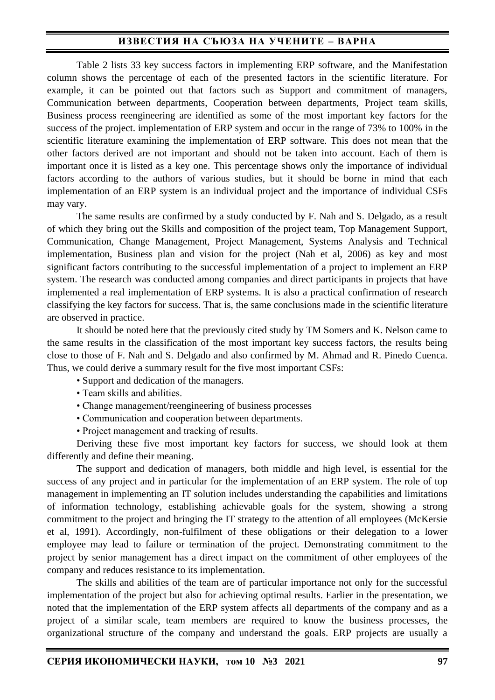## **ИЗВЕСТИЯ НА СЪЮЗА НА УЧЕНИТЕ – ВАРНА**

Table 2 lists 33 key success factors in implementing ERP software, and the Manifestation column shows the percentage of each of the presented factors in the scientific literature. For example, it can be pointed out that factors such as Support and commitment of managers, Communication between departments, Cooperation between departments, Project team skills, Business process reengineering are identified as some of the most important key factors for the success of the project. implementation of ERP system and occur in the range of 73% to 100% in the scientific literature examining the implementation of ERP software. This does not mean that the other factors derived are not important and should not be taken into account. Each of them is important once it is listed as a key one. This percentage shows only the importance of individual factors according to the authors of various studies, but it should be borne in mind that each implementation of an ERP system is an individual project and the importance of individual CSFs may vary.

The same results are confirmed by a study conducted by F. Nah and S. Delgado, as a result of which they bring out the Skills and composition of the project team, Top Management Support, Communication, Change Management, Project Management, Systems Analysis and Technical implementation, Business plan and vision for the project (Nah et al, 2006) as key and most significant factors contributing to the successful implementation of a project to implement an ERP system. The research was conducted among companies and direct participants in projects that have implemented a real implementation of ERP systems. It is also a practical confirmation of research classifying the key factors for success. That is, the same conclusions made in the scientific literature are observed in practice.

It should be noted here that the previously cited study by TM Somers and K. Nelson came to the same results in the classification of the most important key success factors, the results being close to those of F. Nah and S. Delgado and also confirmed by M. Ahmad and R. Pinedo Cuenca. Thus, we could derive a summary result for the five most important CSFs:

- Support and dedication of the managers.
- Team skills and abilities.
- Change management/reengineering of business processes
- Communication and cooperation between departments.
- Project management and tracking of results.

Deriving these five most important key factors for success, we should look at them differently and define their meaning.

The support and dedication of managers, both middle and high level, is essential for the success of any project and in particular for the implementation of an ERP system. The role of top management in implementing an IT solution includes understanding the capabilities and limitations of information technology, establishing achievable goals for the system, showing a strong commitment to the project and bringing the IT strategy to the attention of all employees (McKersie et al, 1991). Accordingly, non-fulfilment of these obligations or their delegation to a lower employee may lead to failure or termination of the project. Demonstrating commitment to the project by senior management has a direct impact on the commitment of other employees of the company and reduces resistance to its implementation.

The skills and abilities of the team are of particular importance not only for the successful implementation of the project but also for achieving optimal results. Earlier in the presentation, we noted that the implementation of the ERP system affects all departments of the company and as a project of a similar scale, team members are required to know the business processes, the organizational structure of the company and understand the goals. ERP projects are usually a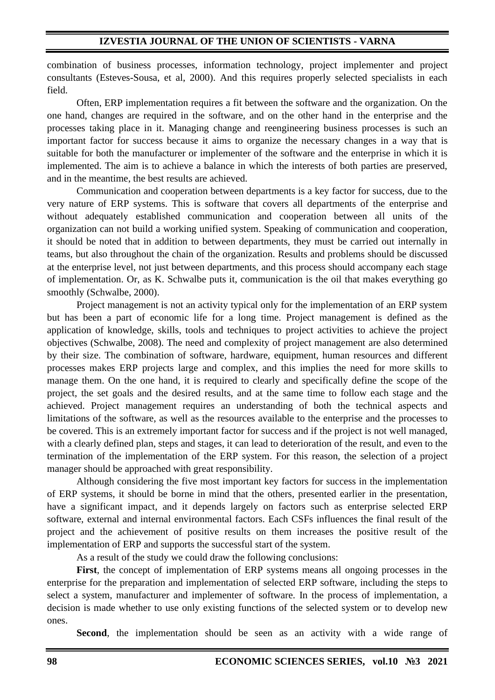combination of business processes, information technology, project implementer and project consultants (Esteves-Sousa, et al, 2000). And this requires properly selected specialists in each field.

Often, ERP implementation requires a fit between the software and the organization. On the one hand, changes are required in the software, and on the other hand in the enterprise and the processes taking place in it. Managing change and reengineering business processes is such an important factor for success because it aims to organize the necessary changes in a way that is suitable for both the manufacturer or implementer of the software and the enterprise in which it is implemented. The aim is to achieve a balance in which the interests of both parties are preserved, and in the meantime, the best results are achieved.

Communication and cooperation between departments is a key factor for success, due to the very nature of ERP systems. This is software that covers all departments of the enterprise and without adequately established communication and cooperation between all units of the organization can not build a working unified system. Speaking of communication and cooperation, it should be noted that in addition to between departments, they must be carried out internally in teams, but also throughout the chain of the organization. Results and problems should be discussed at the enterprise level, not just between departments, and this process should accompany each stage of implementation. Or, as K. Schwalbe puts it, communication is the oil that makes everything go smoothly (Schwalbe, 2000).

Project management is not an activity typical only for the implementation of an ERP system but has been a part of economic life for a long time. Project management is defined as the application of knowledge, skills, tools and techniques to project activities to achieve the project objectives (Schwalbe, 2008). The need and complexity of project management are also determined by their size. The combination of software, hardware, equipment, human resources and different processes makes ERP projects large and complex, and this implies the need for more skills to manage them. On the one hand, it is required to clearly and specifically define the scope of the project, the set goals and the desired results, and at the same time to follow each stage and the achieved. Project management requires an understanding of both the technical aspects and limitations of the software, as well as the resources available to the enterprise and the processes to be covered. This is an extremely important factor for success and if the project is not well managed, with a clearly defined plan, steps and stages, it can lead to deterioration of the result, and even to the termination of the implementation of the ERP system. For this reason, the selection of a project manager should be approached with great responsibility.

Although considering the five most important key factors for success in the implementation of ERP systems, it should be borne in mind that the others, presented earlier in the presentation, have a significant impact, and it depends largely on factors such as enterprise selected ERP software, external and internal environmental factors. Each CSFs influences the final result of the project and the achievement of positive results on them increases the positive result of the implementation of ERP and supports the successful start of the system.

As a result of the study we could draw the following conclusions:

**First**, the concept of implementation of ERP systems means all ongoing processes in the enterprise for the preparation and implementation of selected ERP software, including the steps to select a system, manufacturer and implementer of software. In the process of implementation, a decision is made whether to use only existing functions of the selected system or to develop new ones.

**Second**, the implementation should be seen as an activity with a wide range of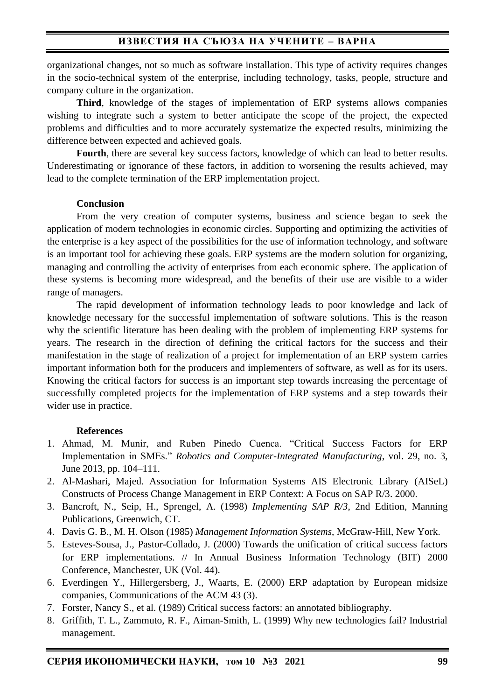organizational changes, not so much as software installation. This type of activity requires changes in the socio-technical system of the enterprise, including technology, tasks, people, structure and company culture in the organization.

**Third**, knowledge of the stages of implementation of ERP systems allows companies wishing to integrate such a system to better anticipate the scope of the project, the expected problems and difficulties and to more accurately systematize the expected results, minimizing the difference between expected and achieved goals.

**Fourth**, there are several key success factors, knowledge of which can lead to better results. Underestimating or ignorance of these factors, in addition to worsening the results achieved, may lead to the complete termination of the ERP implementation project.

#### **Conclusion**

From the very creation of computer systems, business and science began to seek the application of modern technologies in economic circles. Supporting and optimizing the activities of the enterprise is a key aspect of the possibilities for the use of information technology, and software is an important tool for achieving these goals. ERP systems are the modern solution for organizing, managing and controlling the activity of enterprises from each economic sphere. The application of these systems is becoming more widespread, and the benefits of their use are visible to a wider range of managers.

The rapid development of information technology leads to poor knowledge and lack of knowledge necessary for the successful implementation of software solutions. This is the reason why the scientific literature has been dealing with the problem of implementing ERP systems for years. The research in the direction of defining the critical factors for the success and their manifestation in the stage of realization of a project for implementation of an ERP system carries important information both for the producers and implementers of software, as well as for its users. Knowing the critical factors for success is an important step towards increasing the percentage of successfully completed projects for the implementation of ERP systems and a step towards their wider use in practice.

### **References**

- 1. Ahmad, M. Munir, and Ruben Pinedo Cuenca. "Critical Success Factors for ERP Implementation in SMEs." *Robotics and Computer-Integrated Manufacturing*, vol. 29, no. 3, June 2013, pp. 104–111.
- 2. Al-Mashari, Majed. Association for Information Systems AIS Electronic Library (AISeL) Constructs of Process Change Management in ERP Context: A Focus on SAP R/3. 2000.
- 3. Bancroft, N., Seip, H., Sprengel, A. (1998) *Implementing SAP R/3*, 2nd Edition, Manning Publications, Greenwich, CT.
- 4. Davis G. B., M. H. Olson (1985) *Management Information Systems*, McGraw-Hill, New York.
- 5. Esteves-Sousa, J., Pastor-Collado, J. (2000) Towards the unification of critical success factors for ERP implementations. // In Annual Business Information Technology (BIT) 2000 Conference, Manchester, UK (Vol. 44).
- 6. Everdingen Y., Hillergersberg, J., Waarts, E. (2000) ERP adaptation by European midsize companies, Communications of the ACM 43 (3).
- 7. Forster, Nancy S., et al. (1989) Critical success factors: an annotated bibliography.
- 8. Griffith, T. L., Zammuto, R. F., Aiman-Smith, L. (1999) Why new technologies fail? Industrial management.